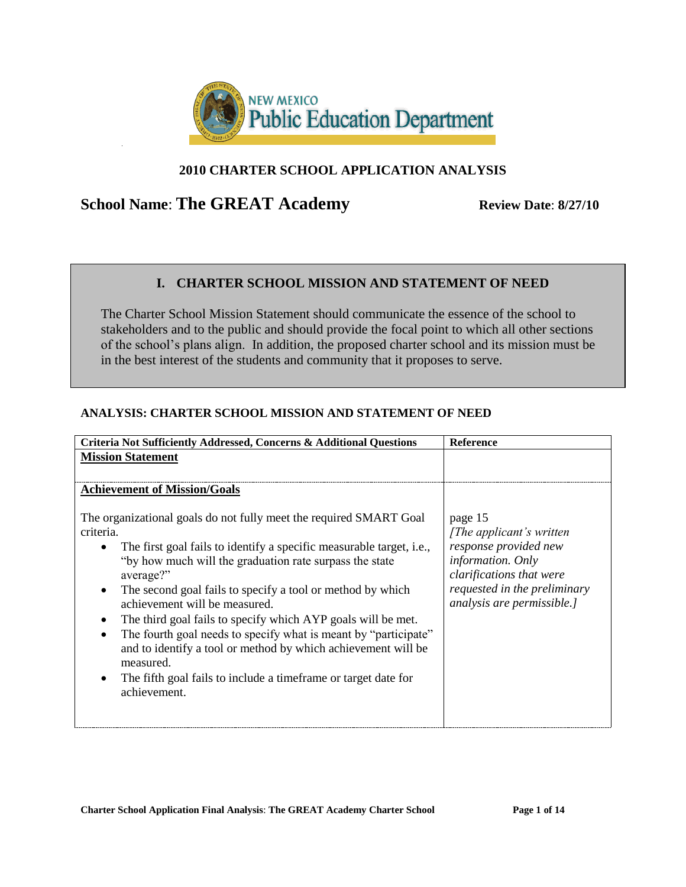

## **2010 CHARTER SCHOOL APPLICATION ANALYSIS**

# **School Name: The GREAT Academy** Review Date: 8/27/10

### **I. CHARTER SCHOOL MISSION AND STATEMENT OF NEED**

The Charter School Mission Statement should communicate the essence of the school to stakeholders and to the public and should provide the focal point to which all other sections of the school's plans align. In addition, the proposed charter school and its mission must be in the best interest of the students and community that it proposes to serve.

#### **ANALYSIS: CHARTER SCHOOL MISSION AND STATEMENT OF NEED**

| Criteria Not Sufficiently Addressed, Concerns & Additional Questions                                                                                                                                                                                                                                                                                                                                                                                                                                                                                                                                                                                                                           | <b>Reference</b>                                                                                                                                                                    |
|------------------------------------------------------------------------------------------------------------------------------------------------------------------------------------------------------------------------------------------------------------------------------------------------------------------------------------------------------------------------------------------------------------------------------------------------------------------------------------------------------------------------------------------------------------------------------------------------------------------------------------------------------------------------------------------------|-------------------------------------------------------------------------------------------------------------------------------------------------------------------------------------|
| <b>Mission Statement</b>                                                                                                                                                                                                                                                                                                                                                                                                                                                                                                                                                                                                                                                                       |                                                                                                                                                                                     |
|                                                                                                                                                                                                                                                                                                                                                                                                                                                                                                                                                                                                                                                                                                |                                                                                                                                                                                     |
| <b>Achievement of Mission/Goals</b>                                                                                                                                                                                                                                                                                                                                                                                                                                                                                                                                                                                                                                                            |                                                                                                                                                                                     |
| The organizational goals do not fully meet the required SMART Goal<br>criteria.<br>The first goal fails to identify a specific measurable target, <i>i.e.</i> ,<br>$\bullet$<br>"by how much will the graduation rate surpass the state<br>average?"<br>The second goal fails to specify a tool or method by which<br>$\bullet$<br>achievement will be measured.<br>The third goal fails to specify which AYP goals will be met.<br>$\bullet$<br>The fourth goal needs to specify what is meant by "participate"<br>$\bullet$<br>and to identify a tool or method by which achievement will be<br>measured.<br>The fifth goal fails to include a time frame or target date for<br>achievement. | page 15<br>[The applicant's written]<br>response provided new<br><i>information. Only</i><br>clarifications that were<br>requested in the preliminary<br>analysis are permissible.] |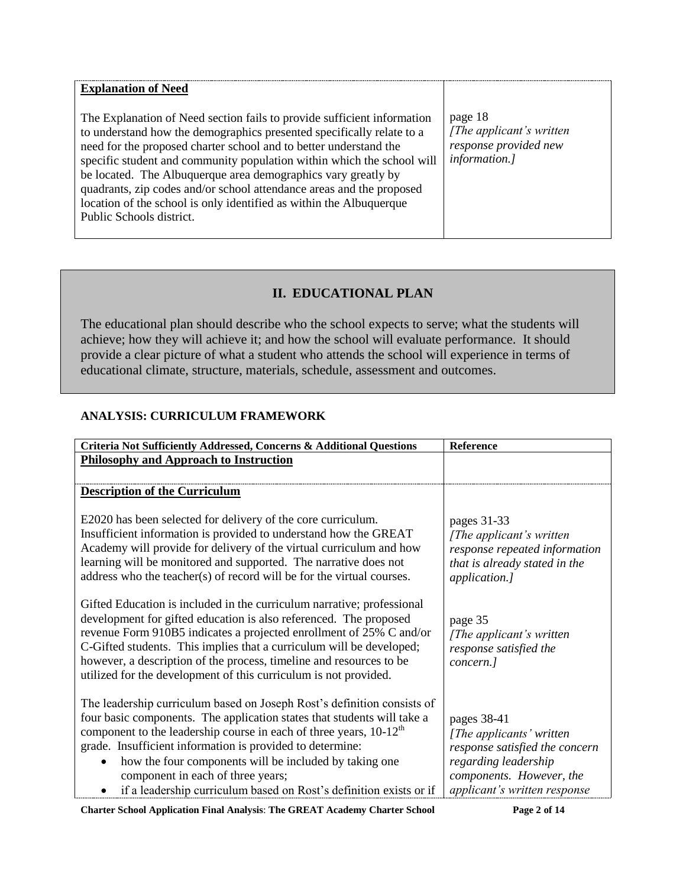| <b>Explanation of Need</b><br>The Explanation of Need section fails to provide sufficient information<br>to understand how the demographics presented specifically relate to a<br>need for the proposed charter school and to better understand the<br>specific student and community population within which the school will<br>be located. The Albuquerque area demographics vary greatly by<br>quadrants, zip codes and/or school attendance areas and the proposed<br>location of the school is only identified as within the Albuquerque<br>Public Schools district. | page 18<br>[The applicant's written]<br>response provided new<br>information.] |
|---------------------------------------------------------------------------------------------------------------------------------------------------------------------------------------------------------------------------------------------------------------------------------------------------------------------------------------------------------------------------------------------------------------------------------------------------------------------------------------------------------------------------------------------------------------------------|--------------------------------------------------------------------------------|
|                                                                                                                                                                                                                                                                                                                                                                                                                                                                                                                                                                           |                                                                                |

# **II. EDUCATIONAL PLAN**

The educational plan should describe who the school expects to serve; what the students will achieve; how they will achieve it; and how the school will evaluate performance. It should provide a clear picture of what a student who attends the school will experience in terms of educational climate, structure, materials, schedule, assessment and outcomes.

### **ANALYSIS: CURRICULUM FRAMEWORK**

| Criteria Not Sufficiently Addressed, Concerns & Additional Questions                                                                                                                                                                                                                                                                                                                                                                                         | Reference                                                                                                                                                     |
|--------------------------------------------------------------------------------------------------------------------------------------------------------------------------------------------------------------------------------------------------------------------------------------------------------------------------------------------------------------------------------------------------------------------------------------------------------------|---------------------------------------------------------------------------------------------------------------------------------------------------------------|
| <b>Philosophy and Approach to Instruction</b>                                                                                                                                                                                                                                                                                                                                                                                                                |                                                                                                                                                               |
|                                                                                                                                                                                                                                                                                                                                                                                                                                                              |                                                                                                                                                               |
| <b>Description of the Curriculum</b>                                                                                                                                                                                                                                                                                                                                                                                                                         |                                                                                                                                                               |
| E2020 has been selected for delivery of the core curriculum.<br>Insufficient information is provided to understand how the GREAT<br>Academy will provide for delivery of the virtual curriculum and how<br>learning will be monitored and supported. The narrative does not<br>address who the teacher(s) of record will be for the virtual courses.                                                                                                         | pages 31-33<br>[The applicant's written]<br>response repeated information<br>that is already stated in the<br>application.]                                   |
| Gifted Education is included in the curriculum narrative; professional<br>development for gifted education is also referenced. The proposed<br>revenue Form 910B5 indicates a projected enrollment of 25% C and/or<br>C-Gifted students. This implies that a curriculum will be developed;<br>however, a description of the process, timeline and resources to be<br>utilized for the development of this curriculum is not provided.                        | page 35<br>[The applicant's written]<br>response satisfied the<br>concern.]                                                                                   |
| The leadership curriculum based on Joseph Rost's definition consists of<br>four basic components. The application states that students will take a<br>component to the leadership course in each of three years, $10-12th$<br>grade. Insufficient information is provided to determine:<br>how the four components will be included by taking one<br>component in each of three years;<br>if a leadership curriculum based on Rost's definition exists or if | pages 38-41<br>[The applicants' written<br>response satisfied the concern<br>regarding leadership<br>components. However, the<br>applicant's written response |

**Charter School Application Final Analysis**: **The GREAT Academy Charter School Page 2 of 14**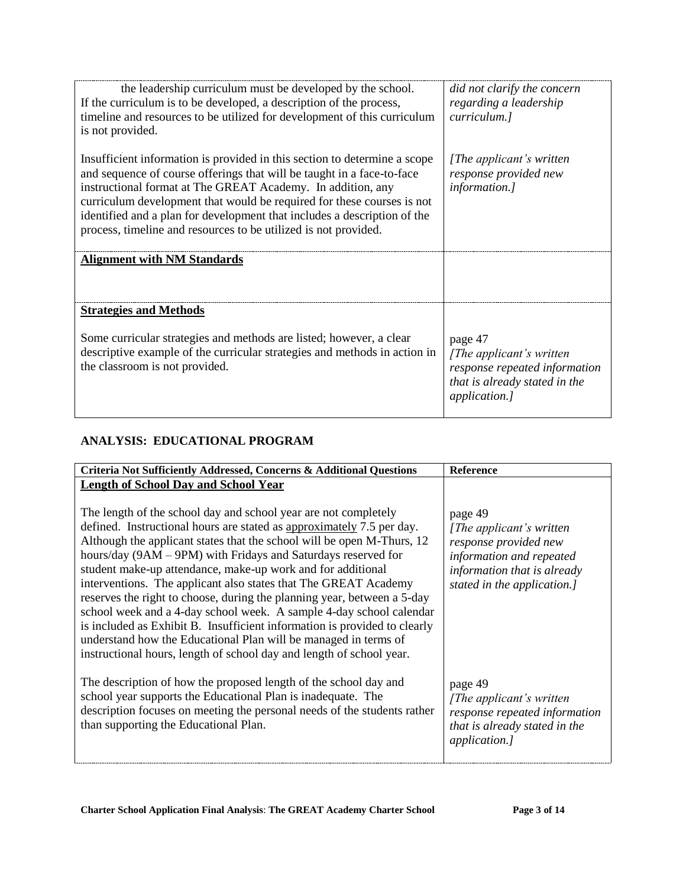| the leadership curriculum must be developed by the school.<br>If the curriculum is to be developed, a description of the process,<br>timeline and resources to be utilized for development of this curriculum<br>is not provided.                                                                                                                                                                                                           | did not clarify the concern<br>regarding a leadership<br>curriculum.]                                                   |
|---------------------------------------------------------------------------------------------------------------------------------------------------------------------------------------------------------------------------------------------------------------------------------------------------------------------------------------------------------------------------------------------------------------------------------------------|-------------------------------------------------------------------------------------------------------------------------|
| Insufficient information is provided in this section to determine a scope<br>and sequence of course offerings that will be taught in a face-to-face<br>instructional format at The GREAT Academy. In addition, any<br>curriculum development that would be required for these courses is not<br>identified and a plan for development that includes a description of the<br>process, timeline and resources to be utilized is not provided. | [The applicant's written]<br>response provided new<br>information.]                                                     |
| <b>Alignment with NM Standards</b>                                                                                                                                                                                                                                                                                                                                                                                                          |                                                                                                                         |
| <b>Strategies and Methods</b>                                                                                                                                                                                                                                                                                                                                                                                                               |                                                                                                                         |
| Some curricular strategies and methods are listed; however, a clear<br>descriptive example of the curricular strategies and methods in action in<br>the classroom is not provided.                                                                                                                                                                                                                                                          | page 47<br>[The applicant's written]<br>response repeated information<br>that is already stated in the<br>application.] |

#### **ANALYSIS: EDUCATIONAL PROGRAM**

| Criteria Not Sufficiently Addressed, Concerns & Additional Questions                                                                                                                                                                                                                                                                                                                                                                                                                                                                                                                                                                                                                                                                                                                            | <b>Reference</b>                                                                                                                                        |
|-------------------------------------------------------------------------------------------------------------------------------------------------------------------------------------------------------------------------------------------------------------------------------------------------------------------------------------------------------------------------------------------------------------------------------------------------------------------------------------------------------------------------------------------------------------------------------------------------------------------------------------------------------------------------------------------------------------------------------------------------------------------------------------------------|---------------------------------------------------------------------------------------------------------------------------------------------------------|
| <b>Length of School Day and School Year</b>                                                                                                                                                                                                                                                                                                                                                                                                                                                                                                                                                                                                                                                                                                                                                     |                                                                                                                                                         |
| The length of the school day and school year are not completely<br>defined. Instructional hours are stated as approximately 7.5 per day.<br>Although the applicant states that the school will be open M-Thurs, 12<br>hours/day (9AM – 9PM) with Fridays and Saturdays reserved for<br>student make-up attendance, make-up work and for additional<br>interventions. The applicant also states that The GREAT Academy<br>reserves the right to choose, during the planning year, between a 5-day<br>school week and a 4-day school week. A sample 4-day school calendar<br>is included as Exhibit B. Insufficient information is provided to clearly<br>understand how the Educational Plan will be managed in terms of<br>instructional hours, length of school day and length of school year. | page 49<br>[The applicant's written]<br>response provided new<br>information and repeated<br>information that is already<br>stated in the application.] |
| The description of how the proposed length of the school day and<br>school year supports the Educational Plan is inadequate. The<br>description focuses on meeting the personal needs of the students rather<br>than supporting the Educational Plan.                                                                                                                                                                                                                                                                                                                                                                                                                                                                                                                                           | page 49<br>[The applicant's written]<br>response repeated information<br>that is already stated in the<br><i>application.]</i>                          |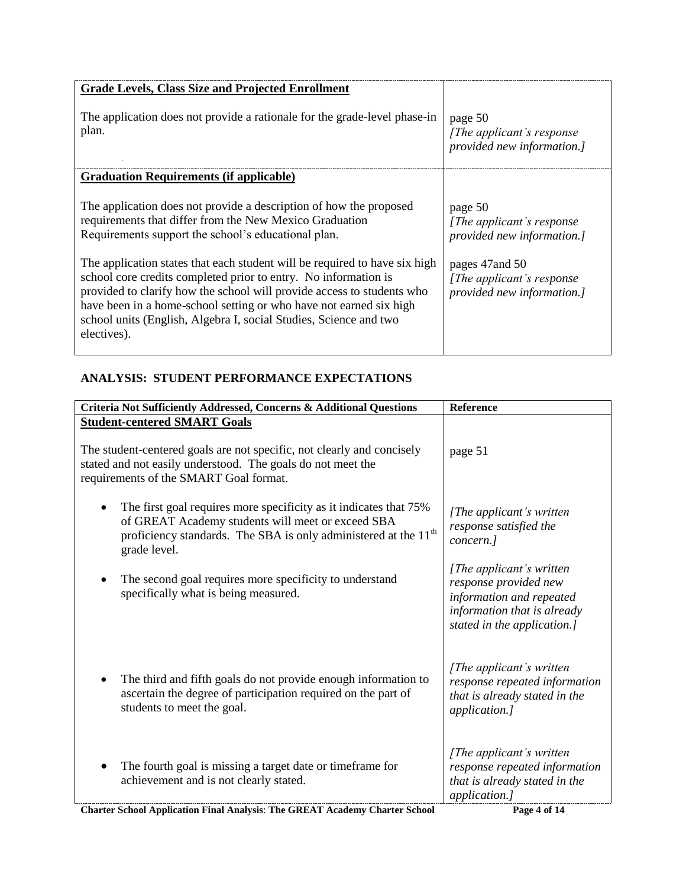| <b>Grade Levels, Class Size and Projected Enrollment</b>                                                                                                                                                                                                                                                                                                                                                                                                                                                                                                                  |                                                                                                                                                             |
|---------------------------------------------------------------------------------------------------------------------------------------------------------------------------------------------------------------------------------------------------------------------------------------------------------------------------------------------------------------------------------------------------------------------------------------------------------------------------------------------------------------------------------------------------------------------------|-------------------------------------------------------------------------------------------------------------------------------------------------------------|
| The application does not provide a rationale for the grade-level phase-in<br>plan.                                                                                                                                                                                                                                                                                                                                                                                                                                                                                        | page 50<br>[The applicant's response]<br>provided new information.]                                                                                         |
| <b>Graduation Requirements (if applicable)</b>                                                                                                                                                                                                                                                                                                                                                                                                                                                                                                                            |                                                                                                                                                             |
| The application does not provide a description of how the proposed<br>requirements that differ from the New Mexico Graduation<br>Requirements support the school's educational plan.<br>The application states that each student will be required to have six high<br>school core credits completed prior to entry. No information is<br>provided to clarify how the school will provide access to students who<br>have been in a home-school setting or who have not earned six high<br>school units (English, Algebra I, social Studies, Science and two<br>electives). | page 50<br>[ <i>The applicant's response</i> ]<br>provided new information.]<br>pages 47 and 50<br>[The applicant's response]<br>provided new information.] |

## **ANALYSIS: STUDENT PERFORMANCE EXPECTATIONS**

| Criteria Not Sufficiently Addressed, Concerns & Additional Questions                                                                                                                                                  | Reference                                                                                                                                    |
|-----------------------------------------------------------------------------------------------------------------------------------------------------------------------------------------------------------------------|----------------------------------------------------------------------------------------------------------------------------------------------|
| <b>Student-centered SMART Goals</b>                                                                                                                                                                                   |                                                                                                                                              |
| The student-centered goals are not specific, not clearly and concisely<br>stated and not easily understood. The goals do not meet the<br>requirements of the SMART Goal format.                                       | page 51                                                                                                                                      |
| The first goal requires more specificity as it indicates that 75%<br>of GREAT Academy students will meet or exceed SBA<br>proficiency standards. The SBA is only administered at the 11 <sup>th</sup><br>grade level. | [The applicant's written]<br>response satisfied the<br>concern.]                                                                             |
| The second goal requires more specificity to understand<br>specifically what is being measured.                                                                                                                       | [The applicant's written]<br>response provided new<br>information and repeated<br>information that is already<br>stated in the application.] |
| The third and fifth goals do not provide enough information to<br>ascertain the degree of participation required on the part of<br>students to meet the goal.                                                         | [The applicant's written]<br>response repeated information<br>that is already stated in the<br>application.]                                 |
| The fourth goal is missing a target date or timeframe for<br>achievement and is not clearly stated.                                                                                                                   | [The applicant's written]<br>response repeated information<br>that is already stated in the<br>application.]                                 |

**Charter School Application Final Analysis**: **The GREAT Academy Charter School Page 4 of 14**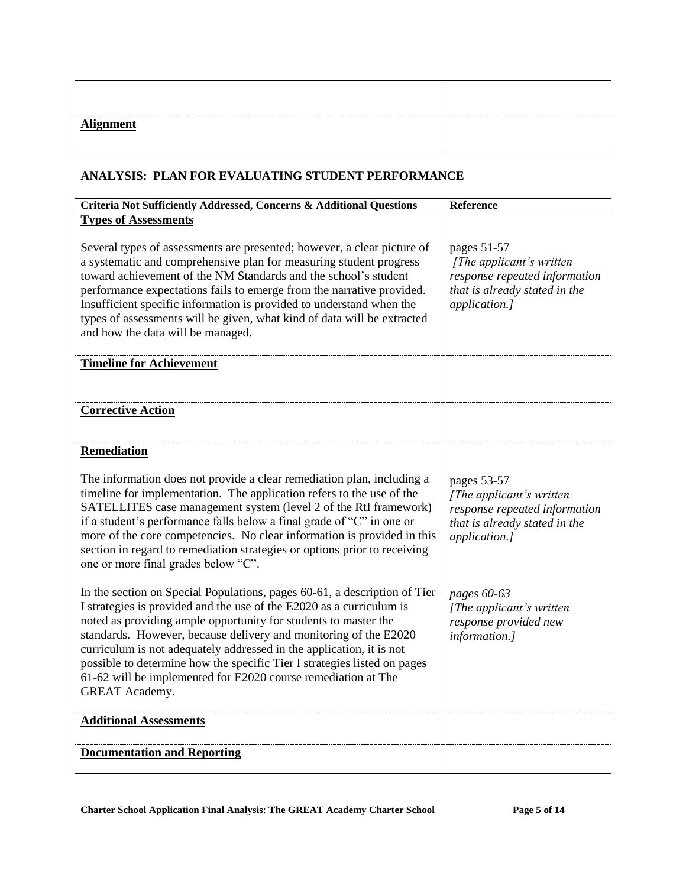| <b>Alignment</b> | -------- |
|------------------|----------|

### **ANALYSIS: PLAN FOR EVALUATING STUDENT PERFORMANCE**

| Criteria Not Sufficiently Addressed, Concerns & Additional Questions                                                                                                                                                                                                                                                                                                                                                                                                                                                                   | Reference                                                                                                                   |
|----------------------------------------------------------------------------------------------------------------------------------------------------------------------------------------------------------------------------------------------------------------------------------------------------------------------------------------------------------------------------------------------------------------------------------------------------------------------------------------------------------------------------------------|-----------------------------------------------------------------------------------------------------------------------------|
| <b>Types of Assessments</b>                                                                                                                                                                                                                                                                                                                                                                                                                                                                                                            |                                                                                                                             |
| Several types of assessments are presented; however, a clear picture of<br>a systematic and comprehensive plan for measuring student progress<br>toward achievement of the NM Standards and the school's student<br>performance expectations fails to emerge from the narrative provided.<br>Insufficient specific information is provided to understand when the<br>types of assessments will be given, what kind of data will be extracted<br>and how the data will be managed.                                                      | pages 51-57<br>[The applicant's written]<br>response repeated information<br>that is already stated in the<br>application.] |
| <b>Timeline for Achievement</b>                                                                                                                                                                                                                                                                                                                                                                                                                                                                                                        |                                                                                                                             |
|                                                                                                                                                                                                                                                                                                                                                                                                                                                                                                                                        |                                                                                                                             |
| <b>Corrective Action</b>                                                                                                                                                                                                                                                                                                                                                                                                                                                                                                               |                                                                                                                             |
|                                                                                                                                                                                                                                                                                                                                                                                                                                                                                                                                        |                                                                                                                             |
| Remediation                                                                                                                                                                                                                                                                                                                                                                                                                                                                                                                            |                                                                                                                             |
| The information does not provide a clear remediation plan, including a<br>timeline for implementation. The application refers to the use of the<br>SATELLITES case management system (level 2 of the RtI framework)<br>if a student's performance falls below a final grade of "C" in one or<br>more of the core competencies. No clear information is provided in this<br>section in regard to remediation strategies or options prior to receiving<br>one or more final grades below "C".                                            | pages 53-57<br>[The applicant's written]<br>response repeated information<br>that is already stated in the<br>application.] |
| In the section on Special Populations, pages 60-61, a description of Tier<br>I strategies is provided and the use of the E2020 as a curriculum is<br>noted as providing ample opportunity for students to master the<br>standards. However, because delivery and monitoring of the E2020<br>curriculum is not adequately addressed in the application, it is not<br>possible to determine how the specific Tier I strategies listed on pages<br>61-62 will be implemented for E2020 course remediation at The<br><b>GREAT Academy.</b> | pages 60-63<br>[The applicant's written<br>response provided new<br>information.]                                           |
| <b>Additional Assessments</b>                                                                                                                                                                                                                                                                                                                                                                                                                                                                                                          |                                                                                                                             |
| <b>Documentation and Reporting</b>                                                                                                                                                                                                                                                                                                                                                                                                                                                                                                     |                                                                                                                             |
|                                                                                                                                                                                                                                                                                                                                                                                                                                                                                                                                        |                                                                                                                             |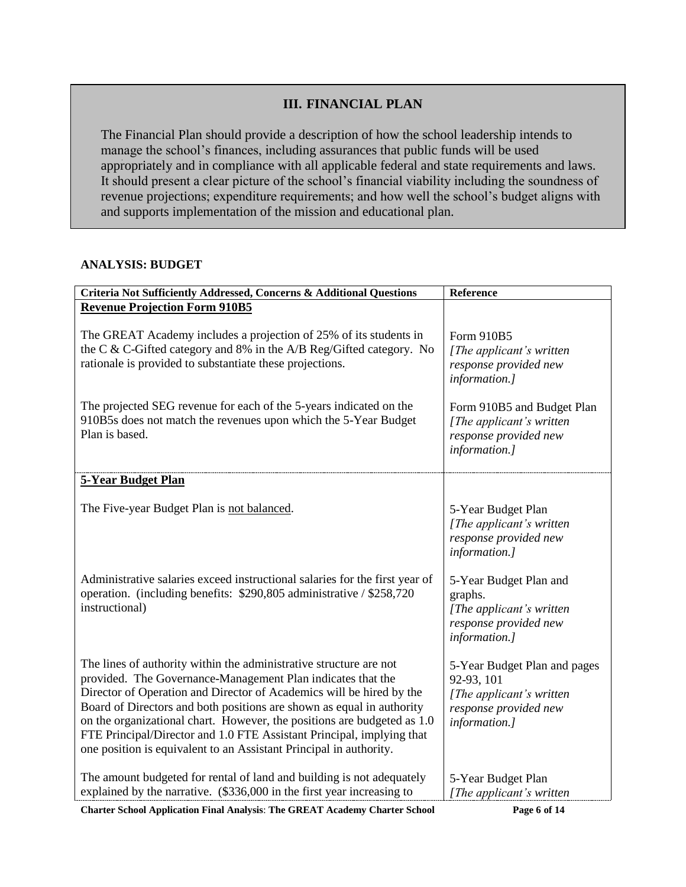### **III. FINANCIAL PLAN**

The Financial Plan should provide a description of how the school leadership intends to manage the school's finances, including assurances that public funds will be used appropriately and in compliance with all applicable federal and state requirements and laws. It should present a clear picture of the school's financial viability including the soundness of revenue projections; expenditure requirements; and how well the school's budget aligns with and supports implementation of the mission and educational plan.

#### **ANALYSIS: BUDGET**

| Criteria Not Sufficiently Addressed, Concerns & Additional Questions                                                                                                                                                                                                                                                                                                                                                                                                                                         | Reference                                                                                                        |
|--------------------------------------------------------------------------------------------------------------------------------------------------------------------------------------------------------------------------------------------------------------------------------------------------------------------------------------------------------------------------------------------------------------------------------------------------------------------------------------------------------------|------------------------------------------------------------------------------------------------------------------|
| <b>Revenue Projection Form 910B5</b>                                                                                                                                                                                                                                                                                                                                                                                                                                                                         |                                                                                                                  |
| The GREAT Academy includes a projection of 25% of its students in<br>the C & C-Gifted category and 8% in the A/B Reg/Gifted category. No<br>rationale is provided to substantiate these projections.                                                                                                                                                                                                                                                                                                         | Form 910B5<br>[The applicant's written]<br>response provided new<br>information.]                                |
| The projected SEG revenue for each of the 5-years indicated on the<br>910B5s does not match the revenues upon which the 5-Year Budget<br>Plan is based.                                                                                                                                                                                                                                                                                                                                                      | Form 910B5 and Budget Plan<br>[The applicant's written]<br>response provided new<br>information.]                |
| <b>5-Year Budget Plan</b>                                                                                                                                                                                                                                                                                                                                                                                                                                                                                    |                                                                                                                  |
| The Five-year Budget Plan is not balanced.                                                                                                                                                                                                                                                                                                                                                                                                                                                                   | 5-Year Budget Plan<br>[The applicant's written]<br>response provided new<br>information.]                        |
| Administrative salaries exceed instructional salaries for the first year of<br>operation. (including benefits: \$290,805 administrative / \$258,720<br>instructional)                                                                                                                                                                                                                                                                                                                                        | 5-Year Budget Plan and<br>graphs.<br>[The applicant's written]<br>response provided new<br>information.]         |
| The lines of authority within the administrative structure are not<br>provided. The Governance-Management Plan indicates that the<br>Director of Operation and Director of Academics will be hired by the<br>Board of Directors and both positions are shown as equal in authority<br>on the organizational chart. However, the positions are budgeted as 1.0<br>FTE Principal/Director and 1.0 FTE Assistant Principal, implying that<br>one position is equivalent to an Assistant Principal in authority. | 5-Year Budget Plan and pages<br>92-93, 101<br>[The applicant's written<br>response provided new<br>information.] |
| The amount budgeted for rental of land and building is not adequately<br>explained by the narrative. (\$336,000 in the first year increasing to                                                                                                                                                                                                                                                                                                                                                              | 5-Year Budget Plan<br>[The applicant's written                                                                   |

**Charter School Application Final Analysis**: **The GREAT Academy Charter School Page 6 of 14**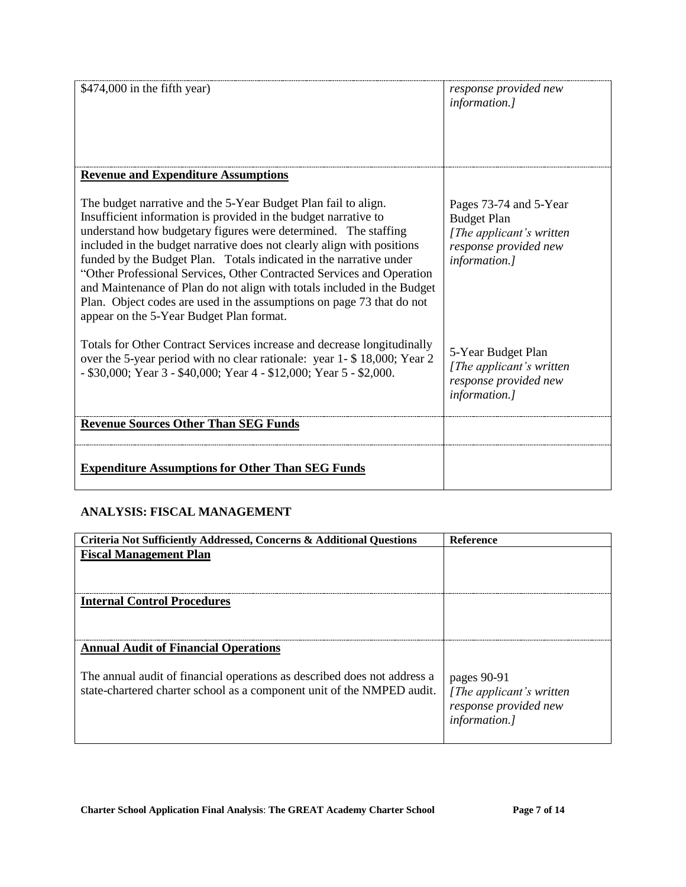| \$474,000 in the fifth year)                                                                                                                                                                                                                                                                                                                                                                                                                                                                                                                                                                                                 | response provided new<br>information.]                                                                             |
|------------------------------------------------------------------------------------------------------------------------------------------------------------------------------------------------------------------------------------------------------------------------------------------------------------------------------------------------------------------------------------------------------------------------------------------------------------------------------------------------------------------------------------------------------------------------------------------------------------------------------|--------------------------------------------------------------------------------------------------------------------|
| <b>Revenue and Expenditure Assumptions</b>                                                                                                                                                                                                                                                                                                                                                                                                                                                                                                                                                                                   |                                                                                                                    |
| The budget narrative and the 5-Year Budget Plan fail to align.<br>Insufficient information is provided in the budget narrative to<br>understand how budgetary figures were determined. The staffing<br>included in the budget narrative does not clearly align with positions<br>funded by the Budget Plan. Totals indicated in the narrative under<br>"Other Professional Services, Other Contracted Services and Operation<br>and Maintenance of Plan do not align with totals included in the Budget<br>Plan. Object codes are used in the assumptions on page 73 that do not<br>appear on the 5-Year Budget Plan format. | Pages 73-74 and 5-Year<br><b>Budget Plan</b><br>[The applicant's written<br>response provided new<br>information.] |
| Totals for Other Contract Services increase and decrease longitudinally<br>over the 5-year period with no clear rationale: year 1- \$18,000; Year 2<br>- \$30,000; Year 3 - \$40,000; Year 4 - \$12,000; Year 5 - \$2,000.                                                                                                                                                                                                                                                                                                                                                                                                   | 5-Year Budget Plan<br>[The applicant's written<br>response provided new<br>information.]                           |
| <b>Revenue Sources Other Than SEG Funds</b>                                                                                                                                                                                                                                                                                                                                                                                                                                                                                                                                                                                  |                                                                                                                    |
|                                                                                                                                                                                                                                                                                                                                                                                                                                                                                                                                                                                                                              |                                                                                                                    |
| <b>Expenditure Assumptions for Other Than SEG Funds</b>                                                                                                                                                                                                                                                                                                                                                                                                                                                                                                                                                                      |                                                                                                                    |

# **ANALYSIS: FISCAL MANAGEMENT**

| Criteria Not Sufficiently Addressed, Concerns & Additional Ouestions                                                                               | Reference                                                                          |
|----------------------------------------------------------------------------------------------------------------------------------------------------|------------------------------------------------------------------------------------|
| <b>Fiscal Management Plan</b>                                                                                                                      |                                                                                    |
| <b>Internal Control Procedures</b>                                                                                                                 |                                                                                    |
| <b>Annual Audit of Financial Operations</b>                                                                                                        |                                                                                    |
| The annual audit of financial operations as described does not address a<br>state-chartered charter school as a component unit of the NMPED audit. | pages 90-91<br>[The applicant's written]<br>response provided new<br>information.] |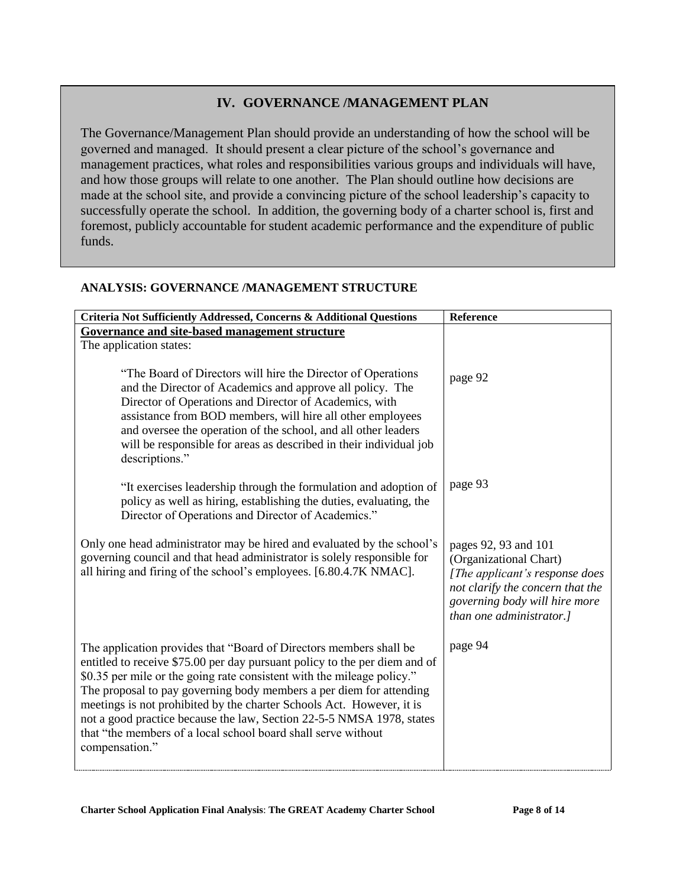### **IV. GOVERNANCE /MANAGEMENT PLAN**

The Governance/Management Plan should provide an understanding of how the school will be governed and managed. It should present a clear picture of the school's governance and management practices, what roles and responsibilities various groups and individuals will have, and how those groups will relate to one another. The Plan should outline how decisions are made at the school site, and provide a convincing picture of the school leadership's capacity to successfully operate the school. In addition, the governing body of a charter school is, first and foremost, publicly accountable for student academic performance and the expenditure of public funds.

### **ANALYSIS: GOVERNANCE /MANAGEMENT STRUCTURE**

| Criteria Not Sufficiently Addressed, Concerns & Additional Questions                                                                              | Reference                                      |
|---------------------------------------------------------------------------------------------------------------------------------------------------|------------------------------------------------|
| Governance and site-based management structure                                                                                                    |                                                |
| The application states:                                                                                                                           |                                                |
| "The Board of Directors will hire the Director of Operations"                                                                                     | page 92                                        |
| and the Director of Academics and approve all policy. The                                                                                         |                                                |
| Director of Operations and Director of Academics, with<br>assistance from BOD members, will hire all other employees                              |                                                |
| and oversee the operation of the school, and all other leaders                                                                                    |                                                |
| will be responsible for areas as described in their individual job                                                                                |                                                |
| descriptions."                                                                                                                                    |                                                |
| "It exercises leadership through the formulation and adoption of                                                                                  | page 93                                        |
| policy as well as hiring, establishing the duties, evaluating, the                                                                                |                                                |
| Director of Operations and Director of Academics."                                                                                                |                                                |
|                                                                                                                                                   |                                                |
| Only one head administrator may be hired and evaluated by the school's<br>governing council and that head administrator is solely responsible for | pages 92, 93 and 101<br>(Organizational Chart) |
| all hiring and firing of the school's employees. [6.80.4.7K NMAC].                                                                                | [The applicant's response does                 |
|                                                                                                                                                   | not clarify the concern that the               |
|                                                                                                                                                   | governing body will hire more                  |
|                                                                                                                                                   | than one administrator.]                       |
| The application provides that "Board of Directors members shall be                                                                                | page 94                                        |
| entitled to receive \$75.00 per day pursuant policy to the per diem and of                                                                        |                                                |
| \$0.35 per mile or the going rate consistent with the mileage policy."                                                                            |                                                |
| The proposal to pay governing body members a per diem for attending                                                                               |                                                |
| meetings is not prohibited by the charter Schools Act. However, it is<br>not a good practice because the law, Section 22-5-5 NMSA 1978, states    |                                                |
| that "the members of a local school board shall serve without                                                                                     |                                                |
| compensation."                                                                                                                                    |                                                |
|                                                                                                                                                   |                                                |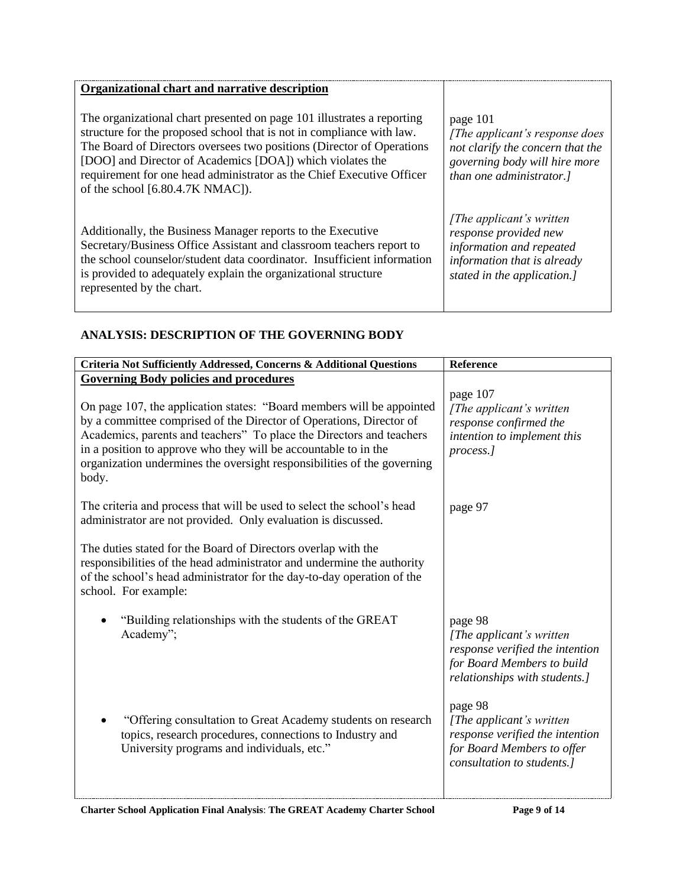| Organizational chart and narrative description                                                                                                                                                                                                                                                                                                                                                        |                                                                                                                                              |
|-------------------------------------------------------------------------------------------------------------------------------------------------------------------------------------------------------------------------------------------------------------------------------------------------------------------------------------------------------------------------------------------------------|----------------------------------------------------------------------------------------------------------------------------------------------|
| The organizational chart presented on page 101 illustrates a reporting<br>structure for the proposed school that is not in compliance with law.<br>The Board of Directors oversees two positions (Director of Operations<br>[DOO] and Director of Academics [DOA]) which violates the<br>requirement for one head administrator as the Chief Executive Officer<br>of the school $[6.80.4.7K NMAC]$ ). | page 101<br>[The applicant's response does]<br>not clarify the concern that the<br>governing body will hire more<br>than one administrator.] |
| Additionally, the Business Manager reports to the Executive<br>Secretary/Business Office Assistant and classroom teachers report to<br>the school counselor/student data coordinator. Insufficient information<br>is provided to adequately explain the organizational structure<br>represented by the chart.                                                                                         | [The applicant's written]<br>response provided new<br>information and repeated<br>information that is already<br>stated in the application.] |

### **ANALYSIS: DESCRIPTION OF THE GOVERNING BODY**

| Criteria Not Sufficiently Addressed, Concerns & Additional Questions                                                                                                                                                                                                                                                                                                        | Reference                                                                                                                              |
|-----------------------------------------------------------------------------------------------------------------------------------------------------------------------------------------------------------------------------------------------------------------------------------------------------------------------------------------------------------------------------|----------------------------------------------------------------------------------------------------------------------------------------|
| <b>Governing Body policies and procedures</b>                                                                                                                                                                                                                                                                                                                               |                                                                                                                                        |
| On page 107, the application states: "Board members will be appointed<br>by a committee comprised of the Director of Operations, Director of<br>Academics, parents and teachers" To place the Directors and teachers<br>in a position to approve who they will be accountable to in the<br>organization undermines the oversight responsibilities of the governing<br>body. | page 107<br>[The applicant's written]<br>response confirmed the<br>intention to implement this<br>process.]                            |
| The criteria and process that will be used to select the school's head<br>administrator are not provided. Only evaluation is discussed.                                                                                                                                                                                                                                     | page 97                                                                                                                                |
| The duties stated for the Board of Directors overlap with the<br>responsibilities of the head administrator and undermine the authority<br>of the school's head administrator for the day-to-day operation of the<br>school. For example:                                                                                                                                   |                                                                                                                                        |
| "Building relationships with the students of the GREAT<br>Academy";                                                                                                                                                                                                                                                                                                         | page 98<br>[The applicant's written]<br>response verified the intention<br>for Board Members to build<br>relationships with students.] |
| "Offering consultation to Great Academy students on research<br>topics, research procedures, connections to Industry and<br>University programs and individuals, etc."                                                                                                                                                                                                      | page 98<br>[The applicant's written]<br>response verified the intention<br>for Board Members to offer<br>consultation to students.]    |

**Charter School Application Final Analysis**: **The GREAT Academy Charter School Page 9 of 14**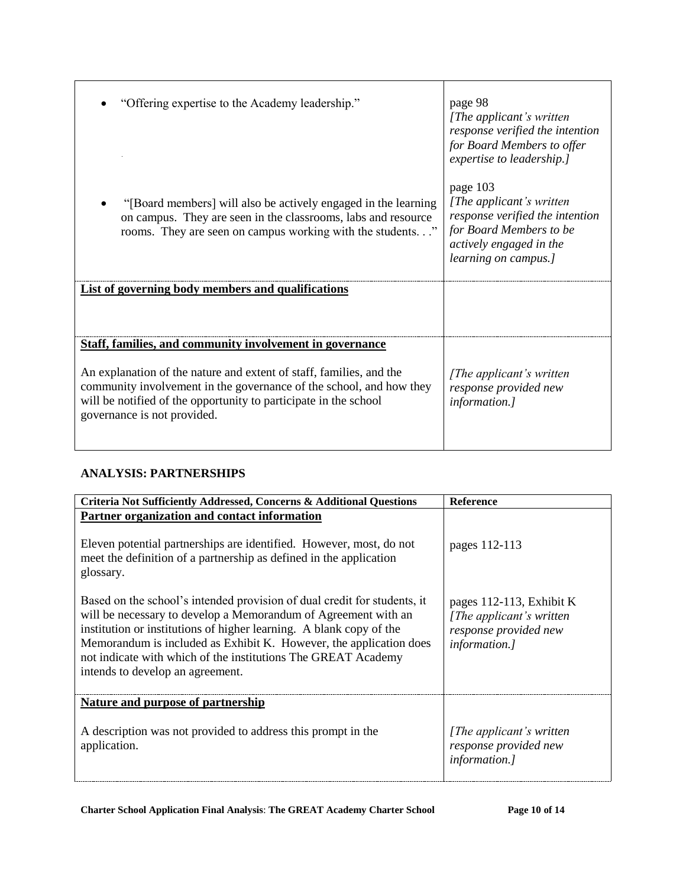| "Offering expertise to the Academy leadership."<br>"[Board members] will also be actively engaged in the learning<br>on campus. They are seen in the classrooms, labs and resource<br>rooms. They are seen on campus working with the students" | page 98<br>[The applicant's written]<br>response verified the intention<br>for Board Members to offer<br>expertise to leadership.]<br>page 103<br>[The applicant's written]<br>response verified the intention<br>for Board Members to be<br>actively engaged in the<br><i>learning on campus.]</i> |
|-------------------------------------------------------------------------------------------------------------------------------------------------------------------------------------------------------------------------------------------------|-----------------------------------------------------------------------------------------------------------------------------------------------------------------------------------------------------------------------------------------------------------------------------------------------------|
| List of governing body members and qualifications                                                                                                                                                                                               |                                                                                                                                                                                                                                                                                                     |
| <b>Staff, families, and community involvement in governance</b>                                                                                                                                                                                 |                                                                                                                                                                                                                                                                                                     |
| An explanation of the nature and extent of staff, families, and the<br>community involvement in the governance of the school, and how they<br>will be notified of the opportunity to participate in the school<br>governance is not provided.   | [The applicant's written]<br>response provided new<br><i>information.]</i>                                                                                                                                                                                                                          |

### **ANALYSIS: PARTNERSHIPS**

| Criteria Not Sufficiently Addressed, Concerns & Additional Questions                                                                                                                                                                                                                                                                                                                         | Reference                                                                                              |
|----------------------------------------------------------------------------------------------------------------------------------------------------------------------------------------------------------------------------------------------------------------------------------------------------------------------------------------------------------------------------------------------|--------------------------------------------------------------------------------------------------------|
| Partner organization and contact information<br>Eleven potential partnerships are identified. However, most, do not<br>meet the definition of a partnership as defined in the application<br>glossary.                                                                                                                                                                                       | pages 112-113                                                                                          |
| Based on the school's intended provision of dual credit for students, it<br>will be necessary to develop a Memorandum of Agreement with an<br>institution or institutions of higher learning. A blank copy of the<br>Memorandum is included as Exhibit K. However, the application does<br>not indicate with which of the institutions The GREAT Academy<br>intends to develop an agreement. | pages 112-113, Exhibit K<br>[The applicant's written]<br>response provided new<br><i>information.]</i> |
| Nature and purpose of partnership                                                                                                                                                                                                                                                                                                                                                            |                                                                                                        |
| A description was not provided to address this prompt in the<br>application.                                                                                                                                                                                                                                                                                                                 | [The applicant's written]<br>response provided new<br><i>information.]</i>                             |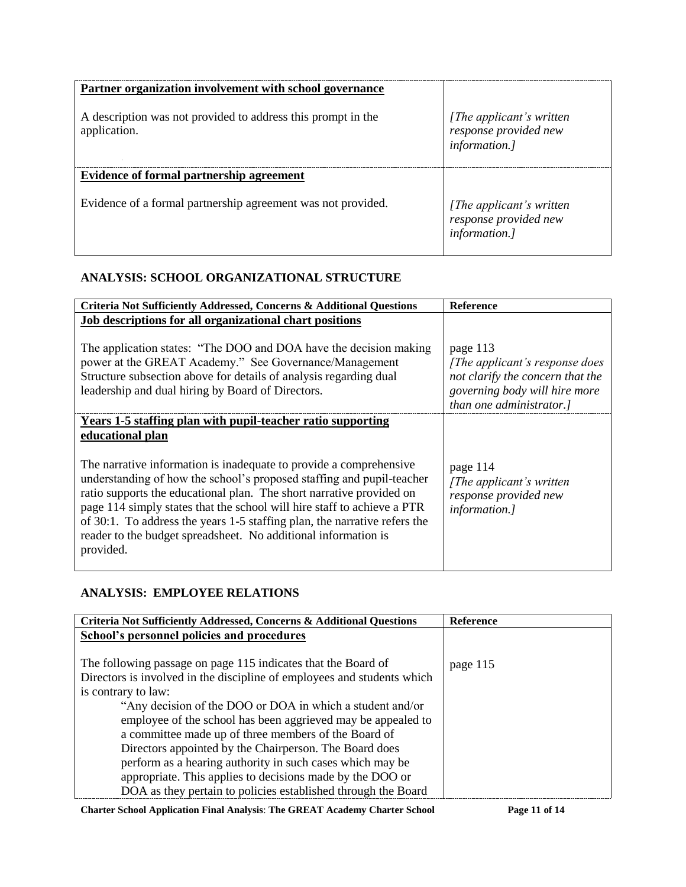| Partner organization involvement with school governance                      |                                                                    |
|------------------------------------------------------------------------------|--------------------------------------------------------------------|
| A description was not provided to address this prompt in the<br>application. | [The applicant's written<br>response provided new<br>information.] |
| Evidence of formal partnership agreement                                     |                                                                    |
| Evidence of a formal partnership agreement was not provided.                 | [The applicant's written<br>response provided new<br>information.] |

### **ANALYSIS: SCHOOL ORGANIZATIONAL STRUCTURE**

| Criteria Not Sufficiently Addressed, Concerns & Additional Questions                                                                                                                                                                                                                                                                                                                                                                                                                                                                          | <b>Reference</b>                                                                                                                            |
|-----------------------------------------------------------------------------------------------------------------------------------------------------------------------------------------------------------------------------------------------------------------------------------------------------------------------------------------------------------------------------------------------------------------------------------------------------------------------------------------------------------------------------------------------|---------------------------------------------------------------------------------------------------------------------------------------------|
| Job descriptions for all organizational chart positions                                                                                                                                                                                                                                                                                                                                                                                                                                                                                       |                                                                                                                                             |
| The application states: "The DOO and DOA have the decision making<br>power at the GREAT Academy." See Governance/Management<br>Structure subsection above for details of analysis regarding dual<br>leadership and dual hiring by Board of Directors.                                                                                                                                                                                                                                                                                         | page 113<br>[The applicant's response does<br>not clarify the concern that the<br>governing body will hire more<br>than one administrator.] |
| Years 1-5 staffing plan with pupil-teacher ratio supporting<br>educational plan<br>The narrative information is inadequate to provide a comprehensive<br>understanding of how the school's proposed staffing and pupil-teacher<br>ratio supports the educational plan. The short narrative provided on<br>page 114 simply states that the school will hire staff to achieve a PTR<br>of 30:1. To address the years 1-5 staffing plan, the narrative refers the<br>reader to the budget spreadsheet. No additional information is<br>provided. | page 114<br>[The applicant's written]<br>response provided new<br>information.]                                                             |

#### **ANALYSIS: EMPLOYEE RELATIONS**

| Criteria Not Sufficiently Addressed, Concerns & Additional Questions    | <b>Reference</b> |
|-------------------------------------------------------------------------|------------------|
| School's personnel policies and procedures                              |                  |
|                                                                         |                  |
| The following passage on page 115 indicates that the Board of           | page 115         |
| Directors is involved in the discipline of employees and students which |                  |
| is contrary to law:                                                     |                  |
| "Any decision of the DOO or DOA in which a student and/or               |                  |
| employee of the school has been aggrieved may be appealed to            |                  |
| a committee made up of three members of the Board of                    |                  |
| Directors appointed by the Chairperson. The Board does                  |                  |
| perform as a hearing authority in such cases which may be               |                  |
| appropriate. This applies to decisions made by the DOO or               |                  |
| DOA as they pertain to policies established through the Board           |                  |

**Charter School Application Final Analysis**: **The GREAT Academy Charter School Page 11 of 14**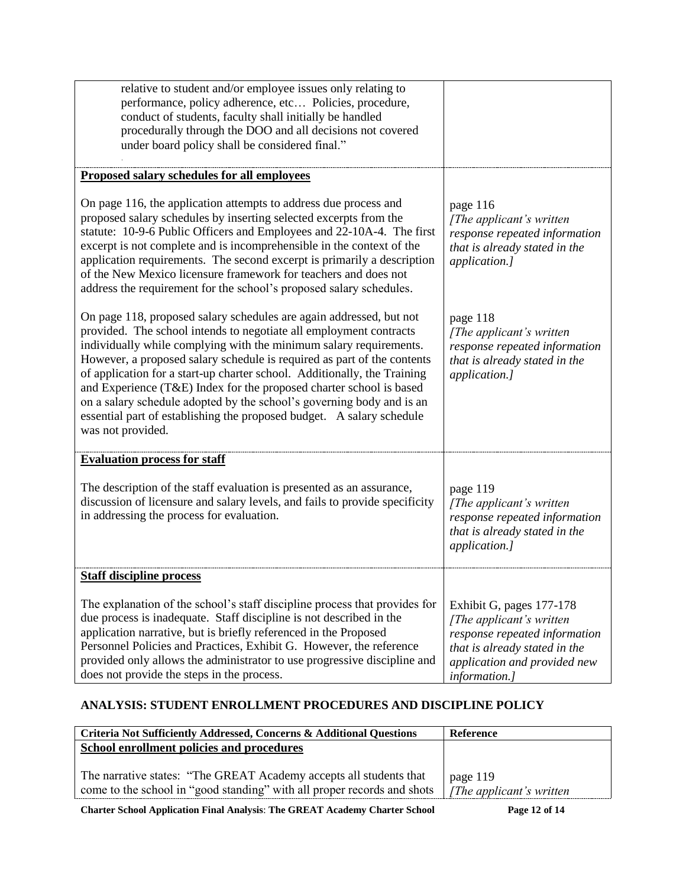| relative to student and/or employee issues only relating to<br>performance, policy adherence, etc Policies, procedure,<br>conduct of students, faculty shall initially be handled<br>procedurally through the DOO and all decisions not covered<br>under board policy shall be considered final."                                                                                                                                                                                                                                                                                                                    |                                                                                                                                                                                 |
|----------------------------------------------------------------------------------------------------------------------------------------------------------------------------------------------------------------------------------------------------------------------------------------------------------------------------------------------------------------------------------------------------------------------------------------------------------------------------------------------------------------------------------------------------------------------------------------------------------------------|---------------------------------------------------------------------------------------------------------------------------------------------------------------------------------|
| Proposed salary schedules for all employees                                                                                                                                                                                                                                                                                                                                                                                                                                                                                                                                                                          |                                                                                                                                                                                 |
| On page 116, the application attempts to address due process and<br>proposed salary schedules by inserting selected excerpts from the<br>statute: 10-9-6 Public Officers and Employees and 22-10A-4. The first<br>excerpt is not complete and is incomprehensible in the context of the<br>application requirements. The second excerpt is primarily a description<br>of the New Mexico licensure framework for teachers and does not<br>address the requirement for the school's proposed salary schedules.                                                                                                         | page 116<br>[The applicant's written<br>response repeated information<br>that is already stated in the<br>application.]                                                         |
| On page 118, proposed salary schedules are again addressed, but not<br>provided. The school intends to negotiate all employment contracts<br>individually while complying with the minimum salary requirements.<br>However, a proposed salary schedule is required as part of the contents<br>of application for a start-up charter school. Additionally, the Training<br>and Experience (T&E) Index for the proposed charter school is based<br>on a salary schedule adopted by the school's governing body and is an<br>essential part of establishing the proposed budget. A salary schedule<br>was not provided. | page 118<br>[The applicant's written<br>response repeated information<br>that is already stated in the<br>application.]                                                         |
| <b>Evaluation process for staff</b>                                                                                                                                                                                                                                                                                                                                                                                                                                                                                                                                                                                  |                                                                                                                                                                                 |
| The description of the staff evaluation is presented as an assurance,<br>discussion of licensure and salary levels, and fails to provide specificity<br>in addressing the process for evaluation.                                                                                                                                                                                                                                                                                                                                                                                                                    | page 119<br>[The applicant's written<br>response repeated information<br>that is already stated in the<br>application.]                                                         |
| <b>Staff discipline process</b>                                                                                                                                                                                                                                                                                                                                                                                                                                                                                                                                                                                      |                                                                                                                                                                                 |
| The explanation of the school's staff discipline process that provides for<br>due process is inadequate. Staff discipline is not described in the<br>application narrative, but is briefly referenced in the Proposed<br>Personnel Policies and Practices, Exhibit G. However, the reference<br>provided only allows the administrator to use progressive discipline and<br>does not provide the steps in the process.                                                                                                                                                                                               | Exhibit G, pages 177-178<br>[The applicant's written]<br>response repeated information<br>that is already stated in the<br>application and provided new<br><i>information.]</i> |

### **ANALYSIS: STUDENT ENROLLMENT PROCEDURES AND DISCIPLINE POLICY**

| Criteria Not Sufficiently Addressed, Concerns & Additional Questions                                                                          | <b>Reference</b>                      |
|-----------------------------------------------------------------------------------------------------------------------------------------------|---------------------------------------|
| School enrollment policies and procedures                                                                                                     |                                       |
| The narrative states: "The GREAT Academy accepts all students that<br>come to the school in "good standing" with all proper records and shots | page 119<br>[The applicant's written] |

**Charter School Application Final Analysis**: **The GREAT Academy Charter School Page 12 of 14**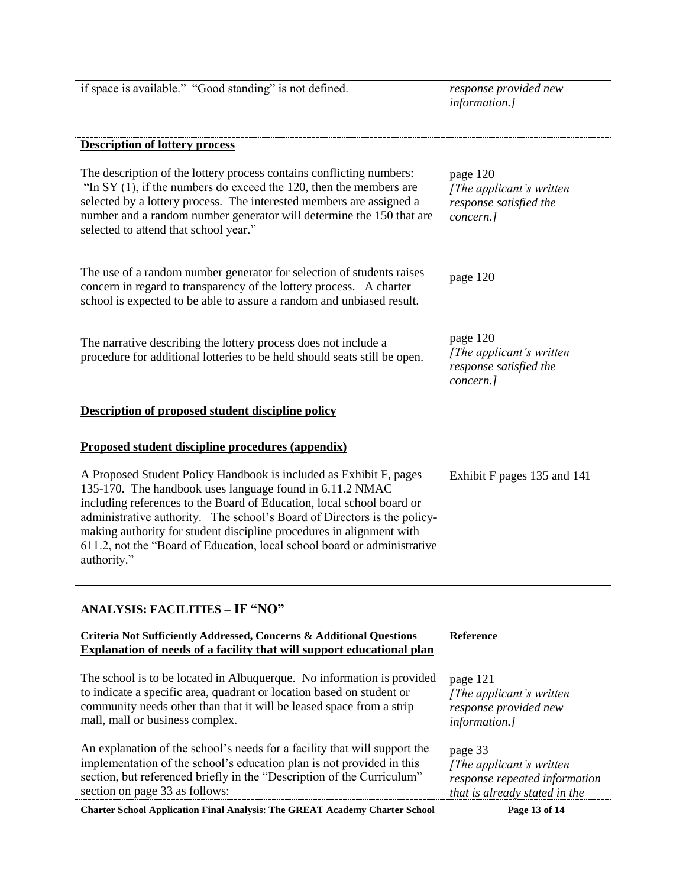| if space is available." "Good standing" is not defined.                                                                                                                                                                                                                                                                                                                                                                                                | response provided new<br>information.]                                       |
|--------------------------------------------------------------------------------------------------------------------------------------------------------------------------------------------------------------------------------------------------------------------------------------------------------------------------------------------------------------------------------------------------------------------------------------------------------|------------------------------------------------------------------------------|
| <b>Description of lottery process</b>                                                                                                                                                                                                                                                                                                                                                                                                                  |                                                                              |
| The description of the lottery process contains conflicting numbers:<br>"In SY $(1)$ , if the numbers do exceed the $120$ , then the members are<br>selected by a lottery process. The interested members are assigned a<br>number and a random number generator will determine the 150 that are<br>selected to attend that school year."                                                                                                              | page 120<br>[The applicant's written]<br>response satisfied the<br>concern.] |
| The use of a random number generator for selection of students raises<br>concern in regard to transparency of the lottery process. A charter<br>school is expected to be able to assure a random and unbiased result.                                                                                                                                                                                                                                  | page 120                                                                     |
| The narrative describing the lottery process does not include a<br>procedure for additional lotteries to be held should seats still be open.                                                                                                                                                                                                                                                                                                           | page 120<br>[The applicant's written]<br>response satisfied the<br>concern.] |
| Description of proposed student discipline policy                                                                                                                                                                                                                                                                                                                                                                                                      |                                                                              |
| Proposed student discipline procedures (appendix)                                                                                                                                                                                                                                                                                                                                                                                                      |                                                                              |
| A Proposed Student Policy Handbook is included as Exhibit F, pages<br>135-170. The handbook uses language found in 6.11.2 NMAC<br>including references to the Board of Education, local school board or<br>administrative authority. The school's Board of Directors is the policy-<br>making authority for student discipline procedures in alignment with<br>611.2, not the "Board of Education, local school board or administrative<br>authority." | Exhibit F pages 135 and 141                                                  |

# **ANALYSIS: FACILITIES – IF "NO"**

| Criteria Not Sufficiently Addressed, Concerns & Additional Questions      | <b>Reference</b>              |
|---------------------------------------------------------------------------|-------------------------------|
| Explanation of needs of a facility that will support educational plan     |                               |
| The school is to be located in Albuquerque. No information is provided    | page 121                      |
| to indicate a specific area, quadrant or location based on student or     | [The applicant's written]     |
| community needs other than that it will be leased space from a strip      | response provided new         |
| mall, mall or business complex.                                           | <i>information.]</i>          |
| An explanation of the school's needs for a facility that will support the | page 33                       |
| implementation of the school's education plan is not provided in this     | [The applicant's written]     |
| section, but referenced briefly in the "Description of the Curriculum"    | response repeated information |
| section on page 33 as follows:                                            | that is already stated in the |

**Charter School Application Final Analysis**: **The GREAT Academy Charter School Page 13 of 14**